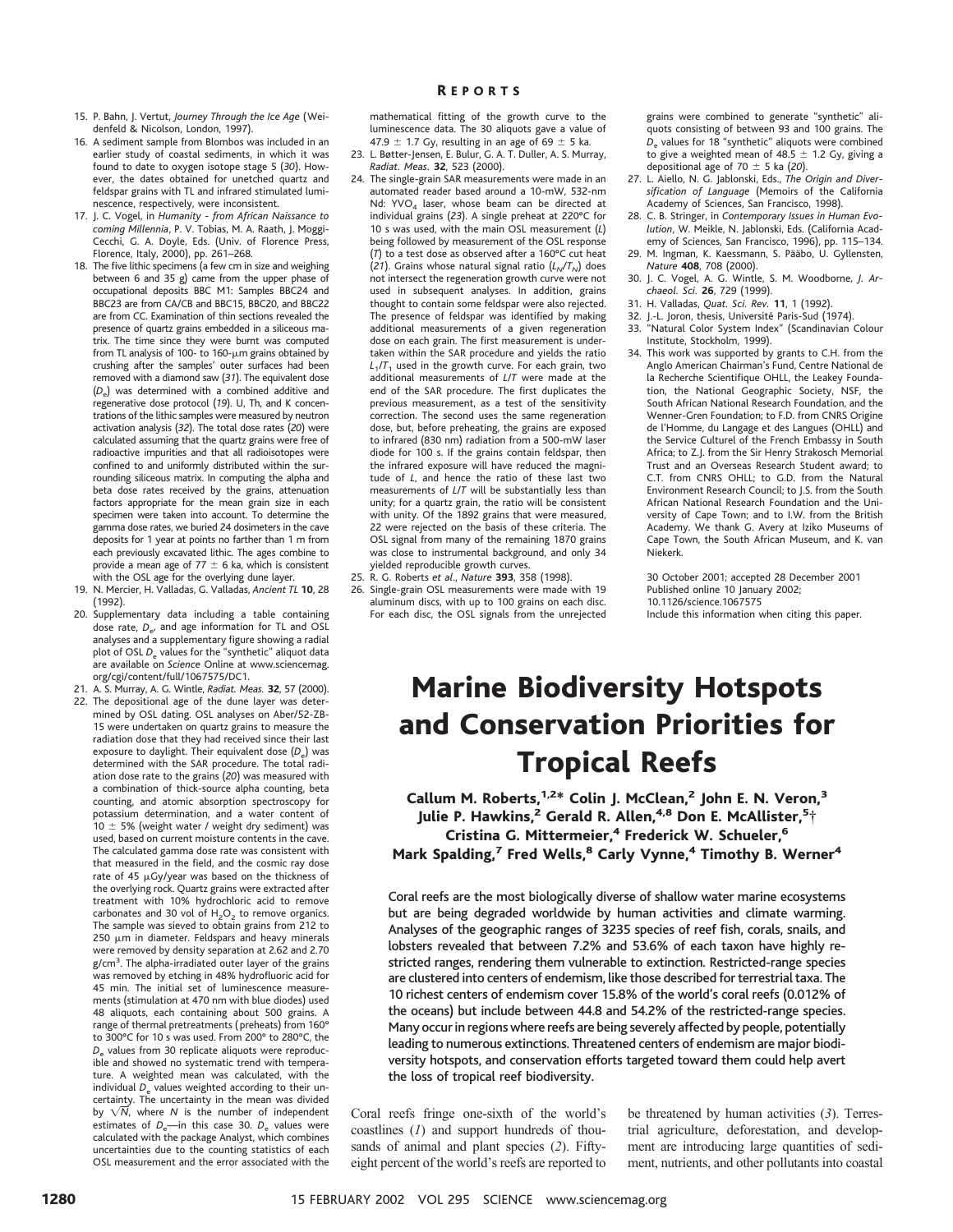- 15. P. Bahn, J. Vertut, *Journey Through the Ice Age* (Weidenfeld & Nicolson, London, 1997).
- 16. A sediment sample from Blombos was included in an earlier study of coastal sediments, in which it was found to date to oxygen isotope stage 5 (*30*). However, the dates obtained for unetched quartz and feldspar grains with TL and infrared stimulated luminescence, respectively, were inconsistent.
- 17. J. C. Vogel, in *Humanity from African Naissance to coming Millennia*, P. V. Tobias, M. A. Raath, J. Moggi-Cecchi, G. A. Doyle, Eds. (Univ. of Florence Press, Florence, Italy, 2000), pp. 261–268*.*
- 18. The five lithic specimens (a few cm in size and weighing between 6 and 35 g) came from the upper phase of occupational deposits BBC M1: Samples BBC24 and BBC23 are from CA/CB and BBC15, BBC20, and BBC22 are from CC. Examination of thin sections revealed the presence of quartz grains embedded in a siliceous matrix. The time since they were burnt was computed from TL analysis of 100- to 160- $\mu$ m grains obtained by crushing after the samples' outer surfaces had been removed with a diamond saw (*31*). The equivalent dose (*D*e) was determined with a combined additive and regenerative dose protocol (*19*). U, Th, and K concentrations of the lithic samples were measured by neutron activation analysis (*32*). The total dose rates (*20*) were calculated assuming that the quartz grains were free of radioactive impurities and that all radioisotopes were confined to and uniformly distributed within the surrounding siliceous matrix. In computing the alpha and beta dose rates received by the grains, attenuation factors appropriate for the mean grain size in each specimen were taken into account. To determine the gamma dose rates, we buried 24 dosimeters in the cave deposits for 1 year at points no farther than 1 m from each previously excavated lithic. The ages combine to provide a mean age of 77  $\pm$  6 ka, which is consistent with the OSL age for the overlying dune layer.
- 19. N. Mercier, H. Valladas, G. Valladas, *Ancient TL* **10**, 28 (1992).
- 20. Supplementary data including a table containing dose rate,  $D_{e}$ , and age information for TL and OSL analyses and a supplementary figure showing a radial plot of OSL *D*<sub>e</sub> values for the "synthetic" aliquot data are available on *Science* Online at www.sciencemag. org/cgi/content/full/1067575/DC1.
- 21. A. S. Murray, A. G. Wintle, *Radiat. Meas.* **32**, 57 (2000). 22. The depositional age of the dune layer was determined by OSL dating. OSL analyses on Aber/52-ZB-15 were undertaken on quartz grains to measure the radiation dose that they had received since their last exposure to daylight. Their equivalent dose  $(D_e)$  was determined with the SAR procedure. The total radiation dose rate to the grains (*20*) was measured with a combination of thick-source alpha counting, beta counting, and atomic absorption spectroscopy for potassium determination, and a water content of  $10 \pm 5\%$  (weight water / weight dry sediment) was used, based on current moisture contents in the cave. The calculated gamma dose rate was consistent with that measured in the field, and the cosmic ray dose rate of 45  $\mu$ Gy/year was based on the thickness of the overlying rock. Quartz grains were extracted after treatment with 10% hydrochloric acid to remove carbonates and 30 vol of  $H_2O_2$  to remove organics. The sample was sieved to obtain grains from 212 to  $250 \mu m$  in diameter. Feldspars and heavy minerals were removed by density separation at 2.62 and 2.70 g/cm3. The alpha-irradiated outer layer of the grains was removed by etching in 48% hydrofluoric acid for 45 min. The initial set of luminescence measurements (stimulation at 470 nm with blue diodes) used 48 aliquots, each containing about 500 grains. A range of thermal pretreatments (preheats) from 160° to 300°C for 10 s was used. From 200° to 280°C, the D<sub>e</sub> values from 30 replicate aliquots were reproducible and showed no systematic trend with temperature. A weighted mean was calculated, with the individual  $D_e$  values weighted according to their uncertainty. The uncertainty in the mean was divided by  $\sqrt{N}$ , where *N* is the number of independent estimates of  $D_{\alpha}$ —in this case 30.  $D_{\text{e}}$  values were calculated with the package Analyst, which combines uncertainties due to the counting statistics of each OSL measurement and the error associated with the

mathematical fitting of the growth curve to the luminescence data. The 30 aliquots gave a value of 47.9  $\pm$  1.7 Gy, resulting in an age of 69  $\pm$  5 ka.

- 23. L. Bøtter-Jensen, E. Bulur, G. A. T. Duller, A. S. Murray, *Radiat. Meas.* **32**, 523 (2000).
- 24. The single-grain SAR measurements were made in an automated reader based around a 10-mW, 532-nm Nd: YVO<sub>4</sub> laser, whose beam can be directed at individual grains (*23*). A single preheat at 220°C for 10 s was used, with the main OSL measurement (*L*) being followed by measurement of the OSL response (*T*) to a test dose as observed after a 160°C cut heat (21). Grains whose natural signal ratio  $(L_N/T_N)$  does not intersect the regeneration growth curve were not used in subsequent analyses. In addition, grains thought to contain some feldspar were also rejected. The presence of feldspar was identified by making additional measurements of a given regeneration dose on each grain. The first measurement is undertaken within the SAR procedure and yields the ratio  $L_1/T_1$  used in the growth curve. For each grain, two additional measurements of *L*/*T* were made at the end of the SAR procedure. The first duplicates the previous measurement, as a test of the sensitivity correction. The second uses the same regeneration dose, but, before preheating, the grains are exposed to infrared (830 nm) radiation from a 500-mW laser diode for 100 s. If the grains contain feldspar, then the infrared exposure will have reduced the magnitude of *L*, and hence the ratio of these last two measurements of *L*/*T* will be substantially less than unity; for a quartz grain, the ratio will be consistent with unity. Of the 1892 grains that were measured, 22 were rejected on the basis of these criteria. The OSL signal from many of the remaining 1870 grains was close to instrumental background, and only 34 yielded reproducible growth curves.
- 25. R. G. Roberts *et al*., *Nature* **393**, 358 (1998). 26. Single-grain OSL measurements were made with 19
- aluminum discs, with up to 100 grains on each disc. For each disc, the OSL signals from the unrejected

grains were combined to generate "synthetic" aliquots consisting of between 93 and 100 grains. The D<sub>e</sub> values for 18 "synthetic" aliquots were combined to give a weighted mean of 48.5  $\pm$  1.2 Gy, giving a depositional age of  $70 \pm 5$  ka (20).

- 27. L. Aiello, N. G. Jablonski, Eds., *The Origin and Diversification of Language* (Memoirs of the California Academy of Sciences, San Francisco, 1998).
- 28. C. B. Stringer, in *Contemporary Issues in Human Evolution*, W. Meikle, N. Jablonski, Eds. (California Academy of Sciences, San Francisco, 1996), pp. 115–134.
- 29. M. Ingman, K. Kaessmann, S. Pääbo, U. Gyllensten, *Nature* **408**, 708 (2000).
- 30. J. C. Vogel, A. G. Wintle, S. M. Woodborne, *J. Archaeol. Sci.* **26**, 729 (1999).
- 31. H. Valladas, *Quat. Sci. Rev.* **11**, 1 (1992).
- 32. J.-L. Joron, thesis, Université Paris-Sud (1974). 33. "Natural Color System Index" (Scandinavian Colour
- Institute, Stockholm, 1999). 34. This work was supported by grants to C.H. from the
- Anglo American Chairman's Fund, Centre National de la Recherche Scientifique OHLL, the Leakey Foundation, the National Geographic Society, NSF, the South African National Research Foundation, and the Wenner-Gren Foundation; to F.D. from CNRS Origine de l'Homme, du Langage et des Langues (OHLL) and the Service Culturel of the French Embassy in South Africa; to Z.J. from the Sir Henry Strakosch Memorial Trust and an Overseas Research Student award; to C.T. from CNRS OHLL; to G.D. from the Natural Environment Research Council; to J.S. from the South African National Research Foundation and the University of Cape Town; and to I.W. from the British Academy. We thank G. Avery at Iziko Museums of Cape Town, the South African Museum, and K. van Niekerk.

30 October 2001; accepted 28 December 2001 Published online 10 January 2002; 10.1126/science.1067575 Include this information when citing this paper.

# Marine Biodiversity Hotspots and Conservation Priorities for Tropical Reefs

Callum M. Roberts,<sup>1,2\*</sup> Colin J. McClean,<sup>2</sup> John E. N. Veron,<sup>3</sup> Julie P. Hawkins,<sup>2</sup> Gerald R. Allen,<sup>4,8</sup> Don E. McAllister,<sup>5</sup>† Cristina G. Mittermeier,<sup>4</sup> Frederick W. Schueler,<sup>6</sup> Mark Spalding,<sup>7</sup> Fred Wells,<sup>8</sup> Carly Vynne,<sup>4</sup> Timothy B. Werner<sup>4</sup>

Coral reefs are the most biologically diverse of shallow water marine ecosystems but are being degraded worldwide by human activities and climate warming. Analyses of the geographic ranges of 3235 species of reef fish, corals, snails, and lobsters revealed that between 7.2% and 53.6% of each taxon have highly restricted ranges, rendering them vulnerable to extinction. Restricted-range species are clustered into centers of endemism, like those described for terrestrial taxa. The 10 richest centers of endemism cover 15.8% of the world's coral reefs (0.012% of the oceans) but include between 44.8 and 54.2% of the restricted-range species. Many occur in regions where reefs are being severely affected by people, potentially leading to numerous extinctions. Threatened centers of endemism are major biodiversity hotspots, and conservation efforts targeted toward them could help avert the loss of tropical reef biodiversity.

Coral reefs fringe one-sixth of the world's coastlines (*1*) and support hundreds of thousands of animal and plant species (*2*). Fiftyeight percent of the world's reefs are reported to

be threatened by human activities (*3*). Terrestrial agriculture, deforestation, and development are introducing large quantities of sediment, nutrients, and other pollutants into coastal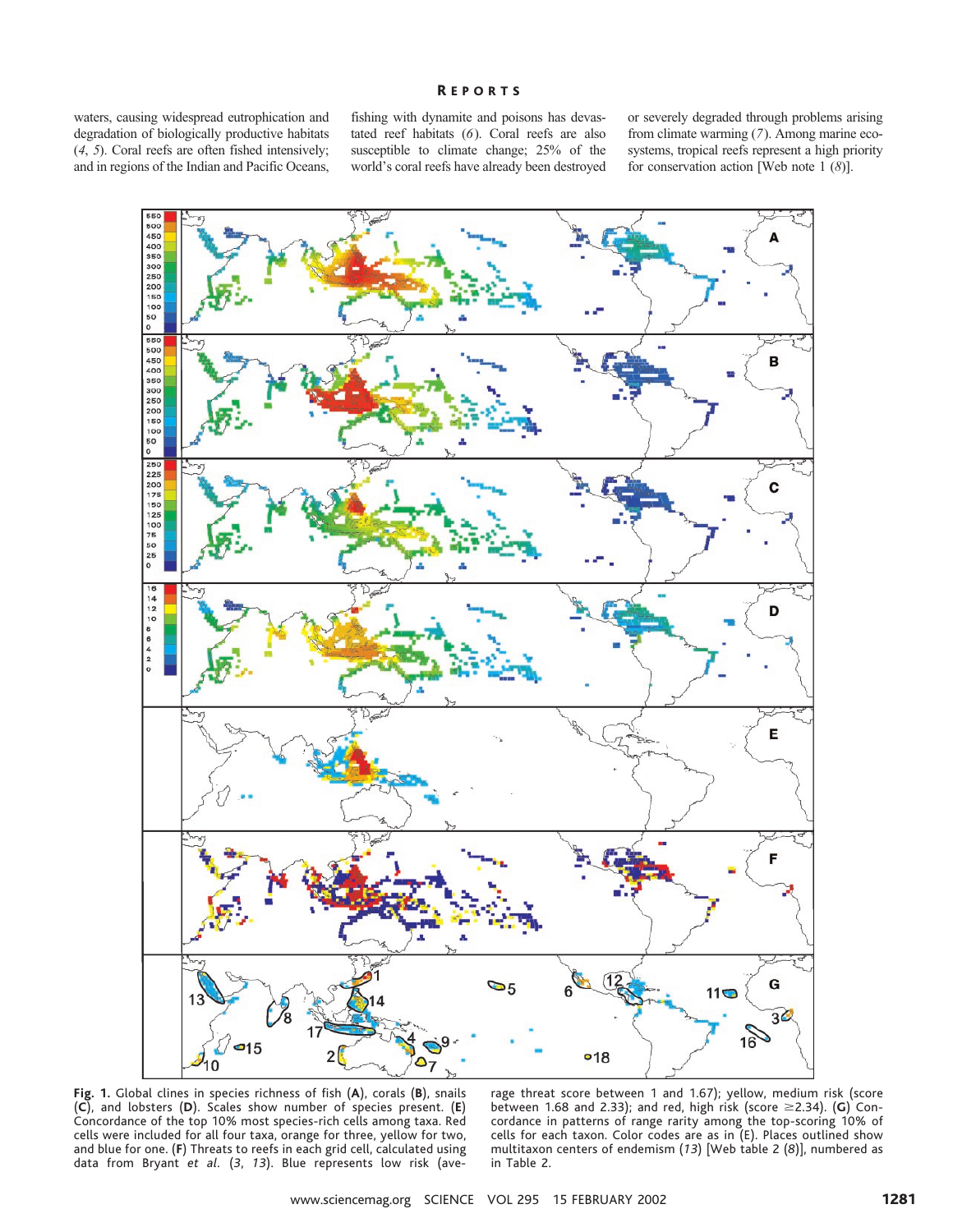### R EPORTS

waters, causing widespread eutrophication and degradation of biologically productive habitats (*4*, *5*). Coral reefs are often fished intensively; and in regions of the Indian and Pacific Oceans,

fishing with dynamite and poisons has devastated reef habitats (*6*). Coral reefs are also susceptible to climate change; 25% of the world's coral reefs have already been destroyed

or severely degraded through problems arising from climate warming (*7*). Among marine ecosystems, tropical reefs represent a high priority for conservation action [Web note 1 (*8*)].



**Fig. 1.** Global clines in species richness of fish (**A**), corals (**B**), snails (**C**), and lobsters (**D**). Scales show number of species present. (**E**) Concordance of the top 10% most species-rich cells among taxa. Red cells were included for all four taxa, orange for three, yellow for two, and blue for one. (**F**) Threats to reefs in each grid cell, calculated using data from Bryant *et al.* (*3*, *13*). Blue represents low risk (ave-

rage threat score between 1 and 1.67); yellow, medium risk (score between 1.68 and 2.33); and red, high risk (score \$2.34). (**G**) Concordance in patterns of range rarity among the top-scoring 10% of cells for each taxon. Color codes are as in (E). Places outlined show multitaxon centers of endemism (*13*) [Web table 2 (*8*)], numbered as in Table 2.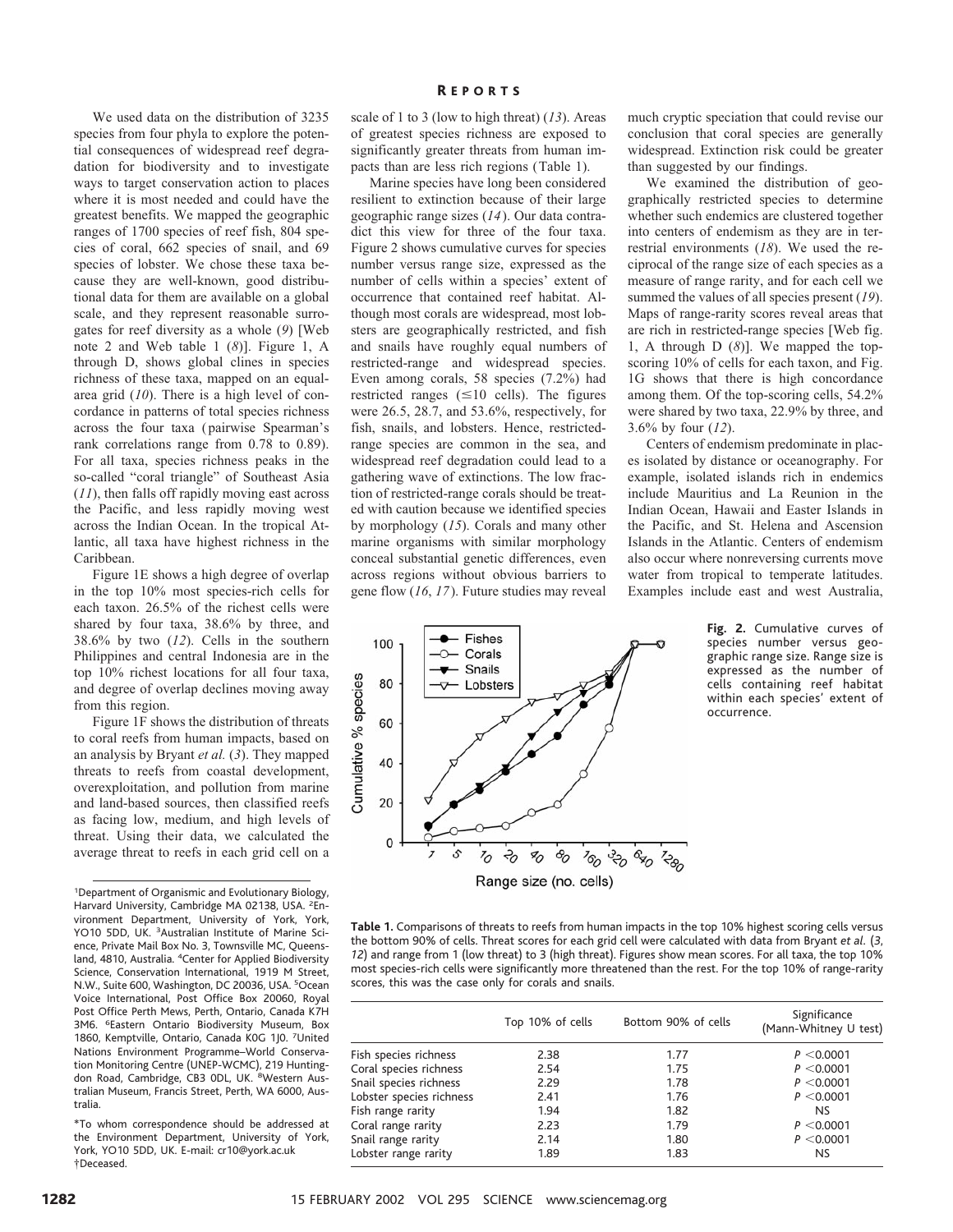We used data on the distribution of 3235 species from four phyla to explore the potential consequences of widespread reef degradation for biodiversity and to investigate ways to target conservation action to places where it is most needed and could have the greatest benefits. We mapped the geographic ranges of 1700 species of reef fish, 804 species of coral, 662 species of snail, and 69 species of lobster. We chose these taxa because they are well-known, good distributional data for them are available on a global scale, and they represent reasonable surrogates for reef diversity as a whole (*9*) [Web note 2 and Web table 1 (*8*)]. Figure 1, A through D, shows global clines in species richness of these taxa, mapped on an equalarea grid (*10*). There is a high level of concordance in patterns of total species richness across the four taxa (pairwise Spearman's rank correlations range from 0.78 to 0.89). For all taxa, species richness peaks in the so-called "coral triangle" of Southeast Asia (*11*), then falls off rapidly moving east across the Pacific, and less rapidly moving west across the Indian Ocean. In the tropical Atlantic, all taxa have highest richness in the Caribbean.

Figure 1E shows a high degree of overlap in the top 10% most species-rich cells for each taxon. 26.5% of the richest cells were shared by four taxa, 38.6% by three, and 38.6% by two (*12*). Cells in the southern Philippines and central Indonesia are in the top 10% richest locations for all four taxa, and degree of overlap declines moving away from this region.

Figure 1F shows the distribution of threats to coral reefs from human impacts, based on an analysis by Bryant *et al.* (*3*). They mapped threats to reefs from coastal development, overexploitation, and pollution from marine and land-based sources, then classified reefs as facing low, medium, and high levels of threat. Using their data, we calculated the average threat to reefs in each grid cell on a

1 Department of Organismic and Evolutionary Biology, Harvard University, Cambridge MA 02138, USA. <sup>2</sup>Environment Department, University of York, York, YO10 5DD, UK. <sup>3</sup>Australian Institute of Marine Science, Private Mail Box No. 3, Townsville MC, Queensland, 4810, Australia. <sup>4</sup>Center for Applied Biodiversity Science, Conservation International, 1919 M Street, N.W., Suite 600, Washington, DC 20036, USA. <sup>5</sup>Ocean Voice International, Post Office Box 20060, Royal Post Office Perth Mews, Perth, Ontario, Canada K7H 3M6. <sup>6</sup>Eastern Ontario Biodiversity Museum, Box 1860, Kemptville, Ontario, Canada K0G 1J0. 7United Nations Environment Programme–World Conservation Monitoring Centre (UNEP-WCMC), 219 Huntingdon Road, Cambridge, CB3 ODL, UK. <sup>8</sup>Western Australian Museum, Francis Street, Perth, WA 6000, Australia.

\*To whom correspondence should be addressed at the Environment Department, University of York, York, YO10 5DD, UK. E-mail: cr10@york.ac.uk †Deceased.

scale of 1 to 3 (low to high threat) (*13*). Areas of greatest species richness are exposed to significantly greater threats from human impacts than are less rich regions (Table 1).

Marine species have long been considered resilient to extinction because of their large geographic range sizes (*14*). Our data contradict this view for three of the four taxa. Figure 2 shows cumulative curves for species number versus range size, expressed as the number of cells within a species' extent of occurrence that contained reef habitat. Although most corals are widespread, most lobsters are geographically restricted, and fish and snails have roughly equal numbers of restricted-range and widespread species. Even among corals, 58 species (7.2%) had restricted ranges  $(\leq 10 \text{ cells})$ . The figures were 26.5, 28.7, and 53.6%, respectively, for fish, snails, and lobsters. Hence, restrictedrange species are common in the sea, and widespread reef degradation could lead to a gathering wave of extinctions. The low fraction of restricted-range corals should be treated with caution because we identified species by morphology (*15*). Corals and many other marine organisms with similar morphology conceal substantial genetic differences, even across regions without obvious barriers to gene flow (*16*, *17*). Future studies may reveal

much cryptic speciation that could revise our conclusion that coral species are generally widespread. Extinction risk could be greater than suggested by our findings.

We examined the distribution of geographically restricted species to determine whether such endemics are clustered together into centers of endemism as they are in terrestrial environments (*18*). We used the reciprocal of the range size of each species as a measure of range rarity, and for each cell we summed the values of all species present (*19*). Maps of range-rarity scores reveal areas that are rich in restricted-range species [Web fig. 1, A through D (*8*)]. We mapped the topscoring 10% of cells for each taxon, and Fig. 1G shows that there is high concordance among them. Of the top-scoring cells, 54.2% were shared by two taxa, 22.9% by three, and 3.6% by four (*12*).

Centers of endemism predominate in places isolated by distance or oceanography. For example, isolated islands rich in endemics include Mauritius and La Reunion in the Indian Ocean, Hawaii and Easter Islands in the Pacific, and St. Helena and Ascension Islands in the Atlantic. Centers of endemism also occur where nonreversing currents move water from tropical to temperate latitudes. Examples include east and west Australia,



**Fig. 2.** Cumulative curves of species number versus geographic range size. Range size is expressed as the number of cells containing reef habitat within each species' extent of occurrence.

**Table 1.** Comparisons of threats to reefs from human impacts in the top 10% highest scoring cells versus the bottom 90% of cells. Threat scores for each grid cell were calculated with data from Bryant *et al.* (*3*, *12*) and range from 1 (low threat) to 3 (high threat). Figures show mean scores. For all taxa, the top 10% most species-rich cells were significantly more threatened than the rest. For the top 10% of range-rarity scores, this was the case only for corals and snails.

|                          | Top 10% of cells | Bottom 90% of cells | Significance<br>(Mann-Whitney U test) |  |  |
|--------------------------|------------------|---------------------|---------------------------------------|--|--|
| Fish species richness    | 2.38             | 1.77                | P < 0.0001                            |  |  |
| Coral species richness   | 2.54             | 1.75                | P < 0.0001                            |  |  |
| Snail species richness   | 2.29             | 1.78                | P < 0.0001                            |  |  |
| Lobster species richness | 2.41             | 1.76                | P < 0.0001                            |  |  |
| Fish range rarity        | 1.94             | 1.82                | NS                                    |  |  |
| Coral range rarity       | 2.23             | 1.79                | P < 0.0001                            |  |  |
| Snail range rarity       | 2.14             | 1.80                | P < 0.0001                            |  |  |
| Lobster range rarity     | 1.89             | 1.83                | NS                                    |  |  |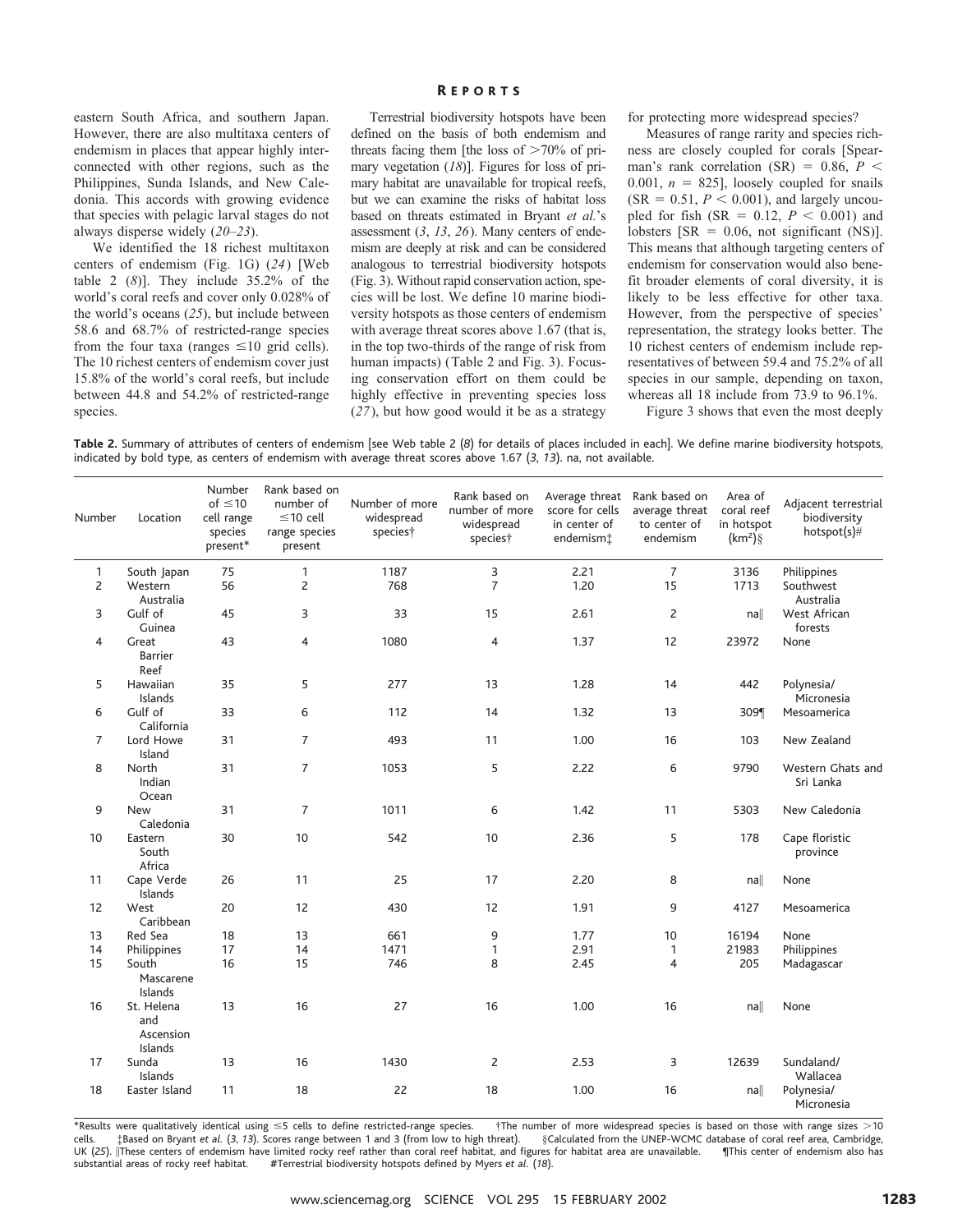eastern South Africa, and southern Japan. However, there are also multitaxa centers of endemism in places that appear highly interconnected with other regions, such as the Philippines, Sunda Islands, and New Caledonia. This accords with growing evidence that species with pelagic larval stages do not always disperse widely (*20*–*23*).

We identified the 18 richest multitaxon centers of endemism (Fig. 1G) (*24*) [Web table 2 (*8*)]. They include 35.2% of the world's coral reefs and cover only 0.028% of the world's oceans (*25*), but include between 58.6 and 68.7% of restricted-range species from the four taxa (ranges  $\leq 10$  grid cells). The 10 richest centers of endemism cover just 15.8% of the world's coral reefs, but include between 44.8 and 54.2% of restricted-range species.

## R EPORTS

Terrestrial biodiversity hotspots have been defined on the basis of both endemism and threats facing them [the loss of  $>70\%$  of primary vegetation (*18*)]. Figures for loss of primary habitat are unavailable for tropical reefs, but we can examine the risks of habitat loss based on threats estimated in Bryant *et al.*'s assessment (*3*, *13*, *26*). Many centers of endemism are deeply at risk and can be considered analogous to terrestrial biodiversity hotspots (Fig. 3). Without rapid conservation action, species will be lost. We define 10 marine biodiversity hotspots as those centers of endemism with average threat scores above 1.67 (that is, in the top two-thirds of the range of risk from human impacts) (Table 2 and Fig. 3). Focusing conservation effort on them could be highly effective in preventing species loss (*27*), but how good would it be as a strategy for protecting more widespread species?

Measures of range rarity and species richness are closely coupled for corals [Spearman's rank correlation (SR) =  $0.86$ ,  $P <$ 0.001,  $n = 825$ ], loosely coupled for snails  $(SR = 0.51, P < 0.001)$ , and largely uncoupled for fish (SR =  $0.12$ , *P* < 0.001) and lobsters [SR =  $0.06$ , not significant (NS)]. This means that although targeting centers of endemism for conservation would also benefit broader elements of coral diversity, it is likely to be less effective for other taxa. However, from the perspective of species' representation, the strategy looks better. The 10 richest centers of endemism include representatives of between 59.4 and 75.2% of all species in our sample, depending on taxon, whereas all 18 include from 73.9 to 96.1%.

Figure 3 shows that even the most deeply

**Table 2.** Summary of attributes of centers of endemism [see Web table 2 (*8*) for details of places included in each]. We define marine biodiversity hotspots, indicated by bold type, as centers of endemism with average threat scores above 1.67 (*3*, *13*). na, not available.

| Number         | Location                                  | Number<br>of $\leq 10$<br>cell range<br>species<br>present* | Rank based on<br>number of<br>$\leq$ 10 cell<br>range species<br>present | Number of more<br>widespread<br>species† | Rank based on<br>number of more<br>widespread<br>species† | Average threat<br>score for cells<br>in center of<br>endemism‡ | Rank based on<br>average threat<br>to center of<br>endemism | Area of<br>coral reef<br>in hotspot<br>$(km2)\$ | Adjacent terrestrial<br>biodiversity<br>hotspot(s)# |
|----------------|-------------------------------------------|-------------------------------------------------------------|--------------------------------------------------------------------------|------------------------------------------|-----------------------------------------------------------|----------------------------------------------------------------|-------------------------------------------------------------|-------------------------------------------------|-----------------------------------------------------|
| 1              | South Japan                               | 75                                                          | 1                                                                        | 1187                                     | 3                                                         | 2.21                                                           | $\overline{7}$                                              | 3136                                            | Philippines                                         |
| $\overline{c}$ | Western<br>Australia                      | 56                                                          | $\overline{c}$                                                           | 768                                      | $\overline{7}$                                            | 1.20                                                           | 15                                                          | 1713                                            | Southwest<br>Australia                              |
| 3              | Gulf of<br>Guinea                         | 45                                                          | 3                                                                        | 33                                       | 15                                                        | 2.61                                                           | $\overline{c}$                                              | $n$ a                                           | West African<br>forests                             |
| $\overline{4}$ | Great<br><b>Barrier</b><br>Reef           | 43                                                          | 4                                                                        | 1080                                     | $\overline{4}$                                            | 1.37                                                           | 12                                                          | 23972                                           | None                                                |
| 5              | Hawaiian<br>Islands                       | 35                                                          | 5                                                                        | 277                                      | 13                                                        | 1.28                                                           | 14                                                          | 442                                             | Polynesia/<br>Micronesia                            |
| 6              | Gulf of<br>California                     | 33                                                          | 6                                                                        | 112                                      | 14                                                        | 1.32                                                           | 13                                                          | 309¶                                            | Mesoamerica                                         |
| $\overline{7}$ | Lord Howe<br>Island                       | 31                                                          | $\overline{7}$                                                           | 493                                      | 11                                                        | 1.00                                                           | 16                                                          | 103                                             | New Zealand                                         |
| 8              | North<br>Indian<br>Ocean                  | 31                                                          | $\overline{7}$                                                           | 1053                                     | 5                                                         | 2.22                                                           | 6                                                           | 9790                                            | Western Ghats and<br>Sri Lanka                      |
| 9              | <b>New</b><br>Caledonia                   | 31                                                          | $\overline{7}$                                                           | 1011                                     | 6                                                         | 1.42                                                           | 11                                                          | 5303                                            | New Caledonia                                       |
| 10             | Eastern<br>South<br>Africa                | 30                                                          | 10                                                                       | 542                                      | 10                                                        | 2.36                                                           | 5                                                           | 178                                             | Cape floristic<br>province                          |
| 11             | Cape Verde<br>Islands                     | 26                                                          | 11                                                                       | 25                                       | 17                                                        | 2.20                                                           | 8                                                           | $n$ a                                           | None                                                |
| 12             | West<br>Caribbean                         | 20                                                          | 12                                                                       | 430                                      | 12                                                        | 1.91                                                           | 9                                                           | 4127                                            | Mesoamerica                                         |
| 13             | Red Sea                                   | 18                                                          | 13                                                                       | 661                                      | 9                                                         | 1.77                                                           | 10                                                          | 16194                                           | None                                                |
| 14             | Philippines                               | 17                                                          | 14                                                                       | 1471                                     | $\mathbf{1}$                                              | 2.91                                                           | 1                                                           | 21983                                           | Philippines                                         |
| 15             | South<br>Mascarene<br>Islands             | 16                                                          | 15                                                                       | 746                                      | 8                                                         | 2.45                                                           | $\overline{4}$                                              | 205                                             | Madagascar                                          |
| 16             | St. Helena<br>and<br>Ascension<br>Islands | 13                                                          | 16                                                                       | 27                                       | 16                                                        | 1.00                                                           | 16                                                          | $n$ a                                           | None                                                |
| 17             | Sunda<br>Islands                          | 13                                                          | 16                                                                       | 1430                                     | $\overline{2}$                                            | 2.53                                                           | 3                                                           | 12639                                           | Sundaland/<br>Wallacea                              |
| 18             | Easter Island                             | 11                                                          | 18                                                                       | 22                                       | 18                                                        | 1.00                                                           | 16                                                          | $n$ a                                           | Polynesia/<br>Micronesia                            |

\*Results were qualitatively identical using  $\leq$ 5 cells to define restricted-range species.  $\;$  †The number of more widespread species is based on those with range sizes  $>$ 10 cells. ‡Based on Bryant *et al.* (*3*, *13*). Scores range between 1 and 3 (from low to high threat). §Calculated from the UNEP-WCMC database of coral reef area, Cambridge, UK (25). |These centers of endemism have limited rocky reef rather than coral reef habitat, and figures for habitat area are unavailable. Inis center of endemism also has substantial areas of rocky reef habitat. #Terrestrial biodiversity hotspots defined by Myers *et al.* (*18*).